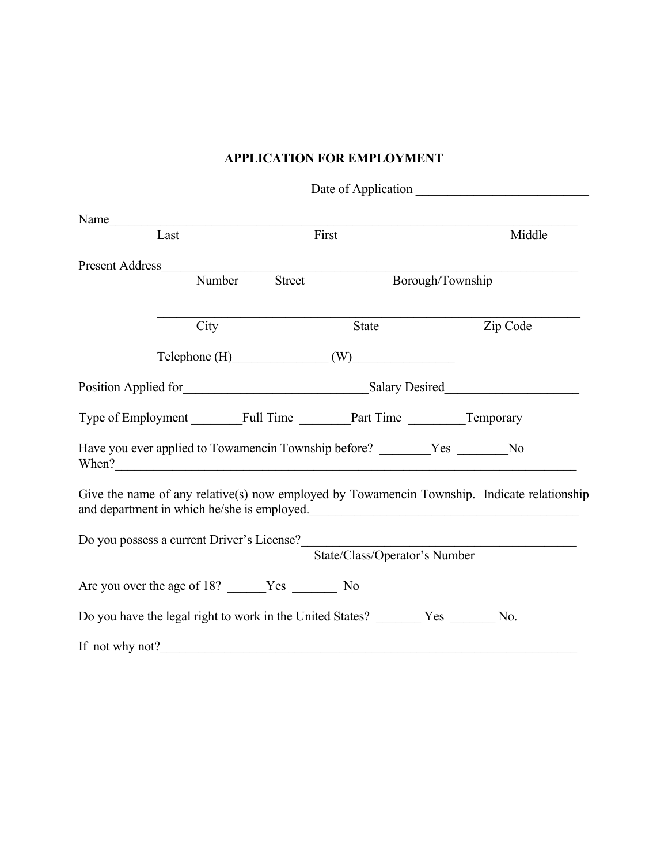## **APPLICATION FOR EMPLOYMENT**

| Name                                                                                                                                       |                            |                               |          |
|--------------------------------------------------------------------------------------------------------------------------------------------|----------------------------|-------------------------------|----------|
| $\overline{\text{Last}}$                                                                                                                   |                            | First                         | Middle   |
| <b>Present Address</b>                                                                                                                     |                            |                               |          |
| $\overline{\text{Number}}$                                                                                                                 | <b>Street</b>              | Borough/Township              |          |
| City                                                                                                                                       |                            | State                         | Zip Code |
|                                                                                                                                            | $\text{Telephone (H)}$ (W) |                               |          |
|                                                                                                                                            |                            |                               |          |
|                                                                                                                                            |                            |                               |          |
| Have you ever applied to Towamencin Township before? ________Yes _______No<br>When?                                                        |                            |                               |          |
| Give the name of any relative(s) now employed by Towamencin Township. Indicate relationship<br>and department in which he/she is employed. |                            |                               |          |
| Do you possess a current Driver's License?                                                                                                 |                            | State/Class/Operator's Number |          |
|                                                                                                                                            |                            |                               |          |
|                                                                                                                                            |                            |                               |          |
| If not why not?                                                                                                                            |                            |                               |          |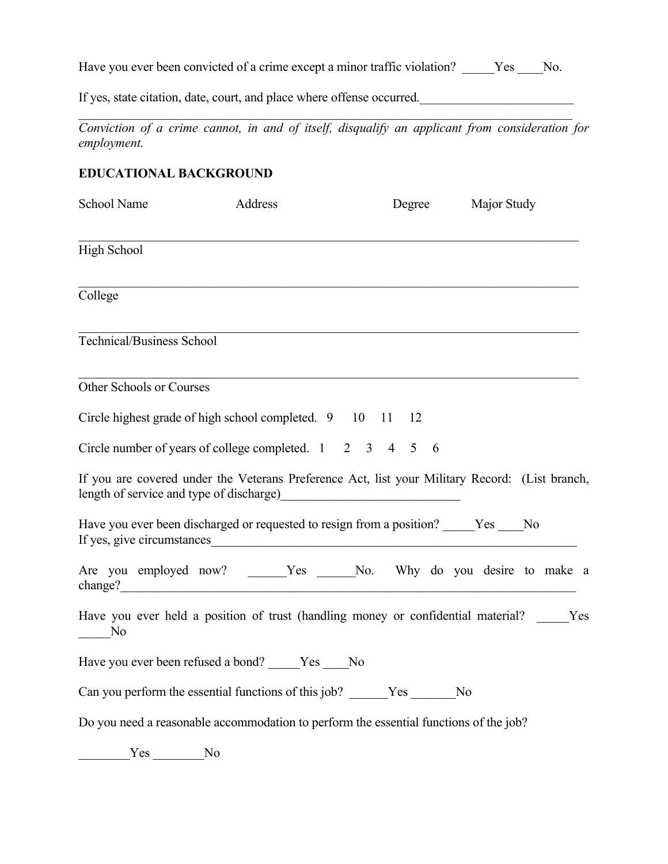Have you ever been convicted of a crime except a minor traffic violation? \_\_\_\_\_Yes \_\_\_\_No.

If yes, state citation, date, court, and place where offense occurred.

*Conviction of a crime cannot, in and of itself, disqualify an applicant from consideration for employment.*

 $\mathcal{L}_\mathcal{L} = \{ \mathcal{L}_\mathcal{L} = \{ \mathcal{L}_\mathcal{L} = \{ \mathcal{L}_\mathcal{L} = \{ \mathcal{L}_\mathcal{L} = \{ \mathcal{L}_\mathcal{L} = \{ \mathcal{L}_\mathcal{L} = \{ \mathcal{L}_\mathcal{L} = \{ \mathcal{L}_\mathcal{L} = \{ \mathcal{L}_\mathcal{L} = \{ \mathcal{L}_\mathcal{L} = \{ \mathcal{L}_\mathcal{L} = \{ \mathcal{L}_\mathcal{L} = \{ \mathcal{L}_\mathcal{L} = \{ \mathcal{L}_\mathcal{$ 

## **EDUCATIONAL BACKGROUND**

| School Name                 | Address                                                                                  | Degree                                                                                                     | <b>Major Study</b> |
|-----------------------------|------------------------------------------------------------------------------------------|------------------------------------------------------------------------------------------------------------|--------------------|
| High School                 |                                                                                          |                                                                                                            |                    |
| College                     |                                                                                          |                                                                                                            |                    |
| Technical/Business School   |                                                                                          |                                                                                                            |                    |
| Other Schools or Courses    |                                                                                          |                                                                                                            |                    |
|                             | Circle highest grade of high school completed. 9 10 11 12                                |                                                                                                            |                    |
|                             | Circle number of years of college completed. $1 \quad 2 \quad 3 \quad 4 \quad 5 \quad 6$ |                                                                                                            |                    |
|                             |                                                                                          | If you are covered under the Veterans Preference Act, list your Military Record: (List branch,             |                    |
|                             |                                                                                          | Have you ever been discharged or requested to resign from a position? Yes No<br>If yes, give circumstances |                    |
|                             |                                                                                          | Are you employed now? _____Yes ____No. Why do you desire to make a<br>change?                              |                    |
| $\overline{\phantom{0}}$ No |                                                                                          | Have you ever held a position of trust (handling money or confidential material? Yes                       |                    |
|                             | Have you ever been refused a bond? Yes No                                                |                                                                                                            |                    |
|                             |                                                                                          | Can you perform the essential functions of this job? Yes No                                                |                    |
|                             |                                                                                          | Do you need a reasonable accommodation to perform the essential functions of the job?                      |                    |
| $Yes$ No                    |                                                                                          |                                                                                                            |                    |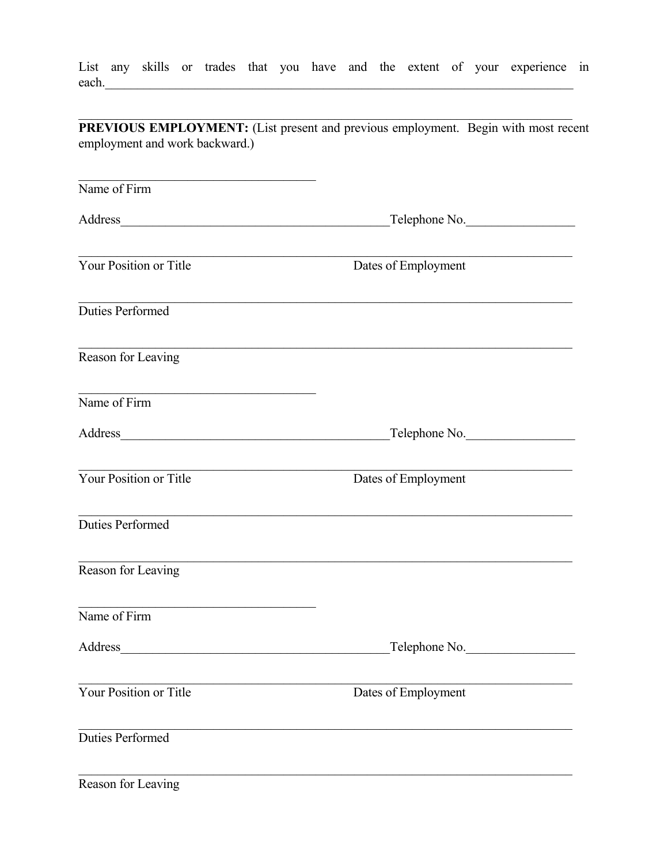List any skills or trades that you have and the extent of your experience in each.

**PREVIOUS EMPLOYMENT:** (List present and previous employment. Begin with most recent employment and work backward.) Name of  $Firm$ Address Telephone No. Dates of Employment Your Position or Title **Duties Performed** Reason for Leaving Name of Firm Address Telephone No. Dates of Employment Your Position or Title Duties Performed Reason for Leaving Name of Firm Address Telephone No. Your Position or Title Dates of Employment Duties Performed

Reason for Leaving